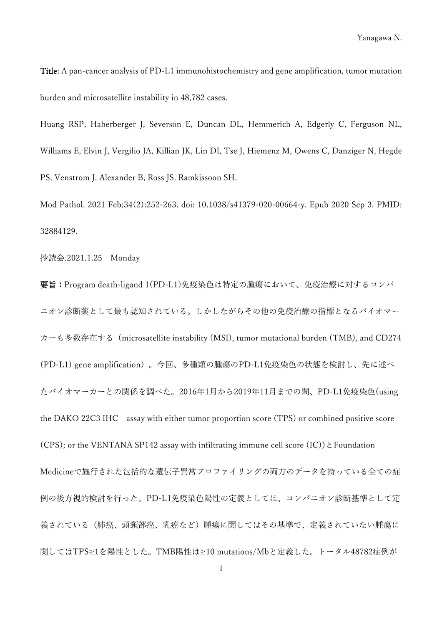Title: A pan-cancer analysis of PD-L1 immunohistochemistry and gene amplification, tumor mutation burden and microsatellite instability in 48,782 cases.

Huang RSP, Haberberger J, Severson E, Duncan DL, Hemmerich A, Edgerly C, Ferguson NL, Williams E, Elvin J, Vergilio JA, Killian JK, Lin DI, Tse J, Hiemenz M, Owens C, Danziger N, Hegde PS, Venstrom J, Alexander B, Ross JS, Ramkissoon SH.

Mod Pathol. 2021 Feb;34(2):252-263. doi: 10.1038/s41379-020-00664-y. Epub 2020 Sep 3. PMID: 32884129.

抄読会.2021.1.25 Monday

要旨:Program death-ligand 1(PD-L1)免疫染色は特定の腫瘍において、免疫治療に対するコンパ ニオン診断薬として最も認知されている。しかしながらその他の免疫治療の指標となるバイオマー カーも多数存在する(microsatellite instability (MSI), tumor mutational burden (TMB), and CD274 (PD-L1) gene amplification)。今回、多種類の腫瘍のPD-L1免疫染色の状態を検討し、先に述べ たバイオマーカーとの関係を調べた。2016年1月から2019年11月までの間、PD-L1免疫染色(using the DAKO 22C3 IHC assay with either tumor proportion score (TPS) or combined positive score (CPS); or the VENTANA SP142 assay with infiltrating immune cell score  $(IC)$ )  $\&$  Foundation Medicineで施行された包括的な遺伝子異常プロファイリングの両方のデータを持っている全ての症 例の後方視的検討を行った。PD-L1免疫染色陽性の定義としては、コンパニオン診断基準として定 義されている(肺癌、頭頸部癌、乳癌など)腫瘍に関してはその基準で、定義されていない腫瘍に 関してはTPS≥1を陽性とした。TMB陽性は≥10 mutations/Mbと定義した。トータル48782症例が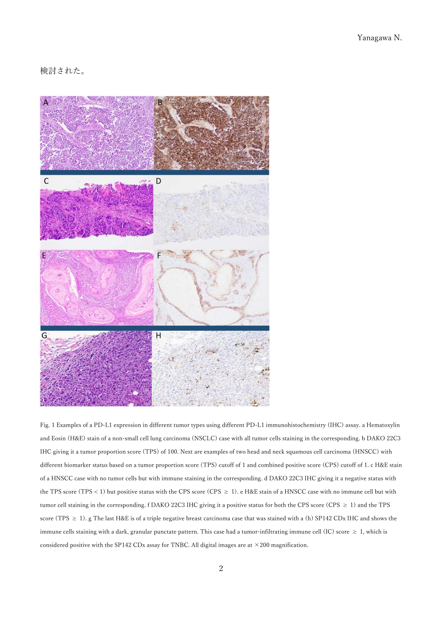## 検討された。



Fig. 1 Examples of a PD-L1 expression in different tumor types using different PD-L1 immunohistochemistry (IHC) assay. a Hematoxylin and Eosin (H&E) stain of a non-small cell lung carcinoma (NSCLC) case with all tumor cells staining in the corresponding. b DAKO 22C3 IHC giving it a tumor proportion score (TPS) of 100. Next are examples of two head and neck squamous cell carcinoma (HNSCC) with different biomarker status based on a tumor proportion score (TPS) cutoff of 1 and combined positive score (CPS) cutoff of 1. c H&E stain of a HNSCC case with no tumor cells but with immune staining in the corresponding. d DAKO 22C3 IHC giving it a negative status with the TPS score (TPS < 1) but positive status with the CPS score (CPS  $\geq 1$ ). e H&E stain of a HNSCC case with no immune cell but with tumor cell staining in the corresponding. f DAKO 22C3 IHC giving it a positive status for both the CPS score (CPS  $\geq 1$ ) and the TPS score (TPS  $\geq$  1). g The last H&E is of a triple negative breast carcinoma case that was stained with a (h) SP142 CDx IHC and shows the immune cells staining with a dark, granular punctate pattern. This case had a tumor-infiltrating immune cell (IC) score  $\geq 1$ , which is considered positive with the SP142 CDx assay for TNBC. All digital images are at  $\times$  200 magnification.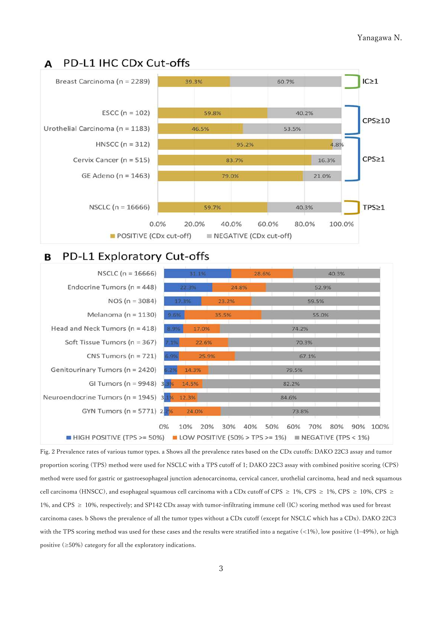### PD-L1 IHC CDx Cut-offs A



#### PD-L1 Exploratory Cut-offs **B**



Fig. 2 Prevalence rates of various tumor types. a Shows all the prevalence rates based on the CDx cutoffs: DAKO 22C3 assay and tumor proportion scoring (TPS) method were used for NSCLC with a TPS cutoff of 1; DAKO 22C3 assay with combined positive scoring (CPS) method were used for gastric or gastroesophageal junction adenocarcinoma, cervical cancer, urothelial carcinoma, head and neck squamous cell carcinoma (HNSCC), and esophageal squamous cell carcinoma with a CDx cutoff of CPS  $\geq 1\%$ , CPS  $\geq 1\%$ , CPS  $\geq 10\%$ , CPS  $\geq$ 1%, and CPS  $\geq$  10%, respectively; and SP142 CDx assay with tumor-infiltrating immune cell (IC) scoring method was used for breast carcinoma cases. b Shows the prevalence of all the tumor types without a CDx cutoff (except for NSCLC which has a CDx). DAKO 22C3 with the TPS scoring method was used for these cases and the results were stratified into a negative (<1%), low positive (1–49%), or high positive (≥50%) category for all the exploratory indications.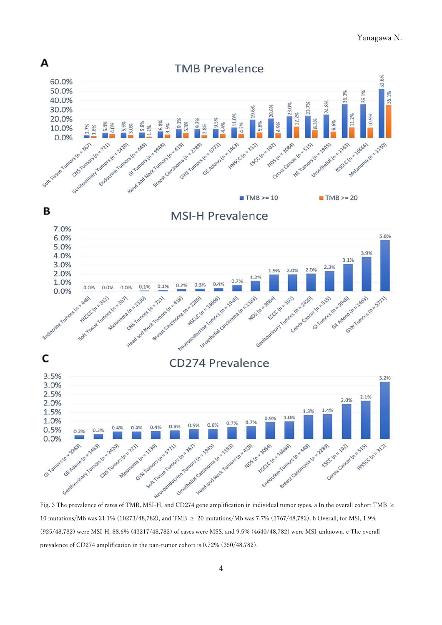### Yanagawa N.



10 mutations/Mb was 21.1% (10273/48,782), and TMB ≥ 20 mutations/Mb was 7.7% (3767/48,782). b Overall, for MSI, 1.9% (925/48,782) were MSI-H, 88.6% (43217/48,782) of cases were MSS, and 9.5% (4640/48,782) were MSI-unknown. c The overall prevalence of CD274 amplification in the pan-tumor cohort is 0.72% (350/48,782).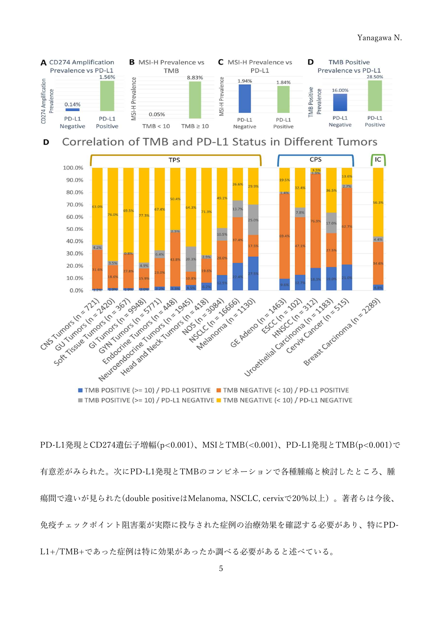

TMB POSITIVE (>= 10) / PD-L1 NEGATIVE TMB NEGATIVE (< 10) / PD-L1 NEGATIVE

PD-L1発現とCD274遺伝子増幅(p<0.001)、MSIとTMB(<0.001)、PD-L1発現とTMB(p<0.001)で 有意差がみられた。次にPD-L1発現とTMBのコンビネーションで各種腫瘍と検討したところ、腫 瘍間で違いが見られた(double positiveはMelanoma, NSCLC, cervixで20%以上)。著者らは今後、 免疫チェックポイント阻害薬が実際に投与された症例の治療効果を確認する必要があり、特にPD-L1+/TMB+であった症例は特に効果があったか調べる必要があると述べている。